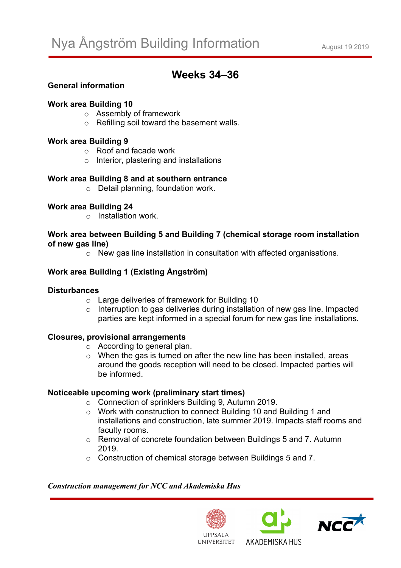# **Weeks 34–36**

# **General information**

#### **Work area Building 10**

- o Assembly of framework
- $\circ$  Refilling soil toward the basement walls.

#### **Work area Building 9**

- o Roof and facade work
- o Interior, plastering and installations

#### **Work area Building 8 and at southern entrance**

o Detail planning, foundation work.

# **Work area Building 24**

o Installation work.

#### **Work area between Building 5 and Building 7 (chemical storage room installation of new gas line)**

o New gas line installation in consultation with affected organisations.

# **Work area Building 1 (Existing Ångström)**

#### **Disturbances**

- o Large deliveries of framework for Building 10
- o Interruption to gas deliveries during installation of new gas line. Impacted parties are kept informed in a special forum for new gas line installations.

#### **Closures, provisional arrangements**

- o According to general plan.
- $\circ$  When the gas is turned on after the new line has been installed, areas around the goods reception will need to be closed. Impacted parties will be informed.

# **Noticeable upcoming work (preliminary start times)**

- o Connection of sprinklers Building 9, Autumn 2019.
- o Work with construction to connect Building 10 and Building 1 and installations and construction, late summer 2019. Impacts staff rooms and faculty rooms.
- o Removal of concrete foundation between Buildings 5 and 7. Autumn 2019.
- o Construction of chemical storage between Buildings 5 and 7.

#### *Construction management for NCC and Akademiska Hus*







**UNIVERSITET**